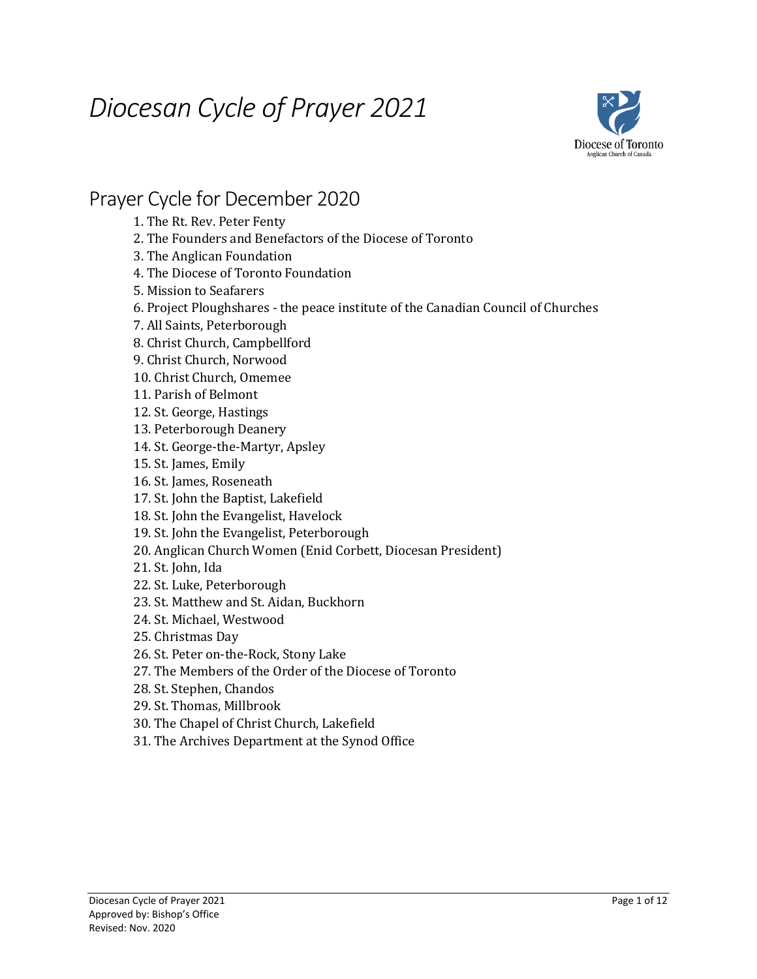# *Diocesan Cycle of Prayer 2021*



#### Prayer Cycle for December 2020

1. The Rt. Rev. Peter Fenty

- 2. The Founders and Benefactors of the Diocese of Toronto
- 3. The Anglican Foundation
- 4. The Diocese of Toronto Foundation
- 5. Mission to Seafarers
- 6. Project Ploughshares the peace institute of the Canadian Council of Churches
- 7. All Saints, Peterborough
- 8. Christ Church, Campbellford
- 9. Christ Church, Norwood
- 10. Christ Church, Omemee
- 11. Parish of Belmont
- 12. St. George, Hastings
- 13. Peterborough Deanery
- 14. St. George-the-Martyr, Apsley
- 15. St. James, Emily
- 16. St. James, Roseneath
- 17. St. John the Baptist, Lakefield
- 18. St. John the Evangelist, Havelock
- 19. St. John the Evangelist, Peterborough
- 20. Anglican Church Women (Enid Corbett, Diocesan President)
- 21. St. John, Ida
- 22. St. Luke, Peterborough
- 23. St. Matthew and St. Aidan, Buckhorn
- 24. St. Michael, Westwood
- 25. Christmas Day
- 26. St. Peter on-the-Rock, Stony Lake
- 27. The Members of the Order of the Diocese of Toronto
- 28. St. Stephen, Chandos
- 29. St. Thomas, Millbrook
- 30. The Chapel of Christ Church, Lakefield
- 31. The Archives Department at the Synod Office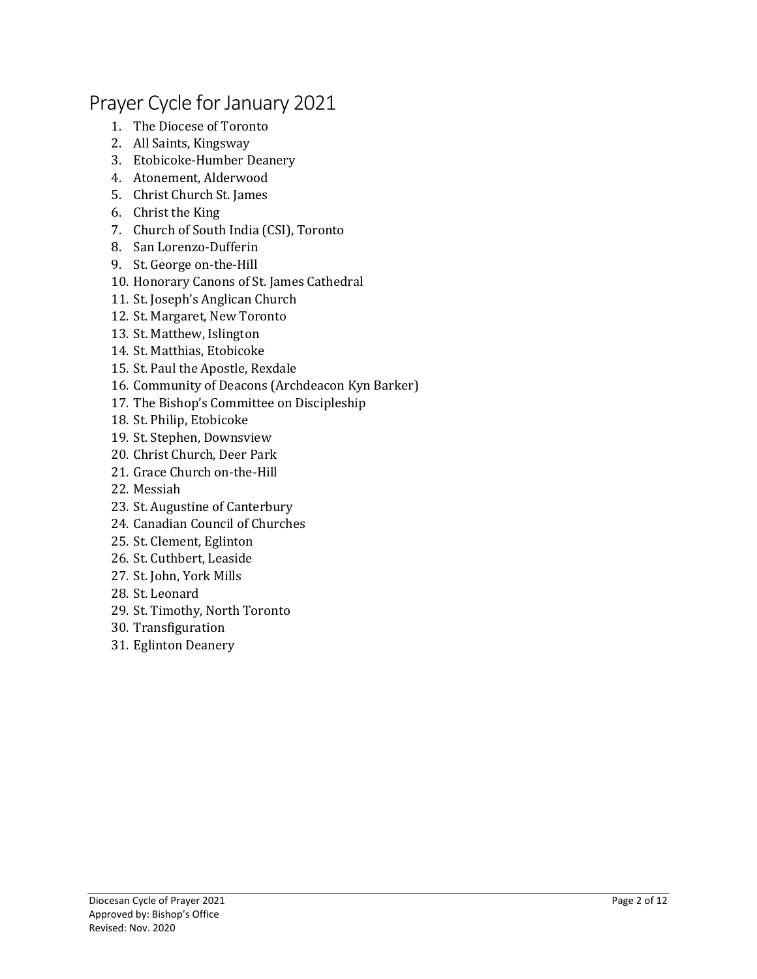# Prayer Cycle for January 2021

- 1. The Diocese of Toronto
- 2. All Saints, Kingsway
- 3. Etobicoke-Humber Deanery
- 4. Atonement, Alderwood
- 5. Christ Church St. James
- 6. Christ the King
- 7. Church of South India (CSI), Toronto
- 8. San Lorenzo-Dufferin
- 9. St. George on-the-Hill
- 10. Honorary Canons of St. James Cathedral
- 11. St. Joseph's Anglican Church
- 12. St. Margaret, New Toronto
- 13. St. Matthew, Islington
- 14. St. Matthias, Etobicoke
- 15. St. Paul the Apostle, Rexdale
- 16. Community of Deacons (Archdeacon Kyn Barker)
- 17. The Bishop's Committee on Discipleship
- 18. St. Philip, Etobicoke
- 19. St. Stephen, Downsview
- 20. Christ Church, Deer Park
- 21. Grace Church on-the-Hill
- 22. Messiah
- 23. St. Augustine of Canterbury
- 24. Canadian Council of Churches
- 25. St. Clement, Eglinton
- 26. St. Cuthbert, Leaside
- 27. St. John, York Mills
- 28. St. Leonard
- 29. St. Timothy, North Toronto
- 30. Transfiguration
- 31. Eglinton Deanery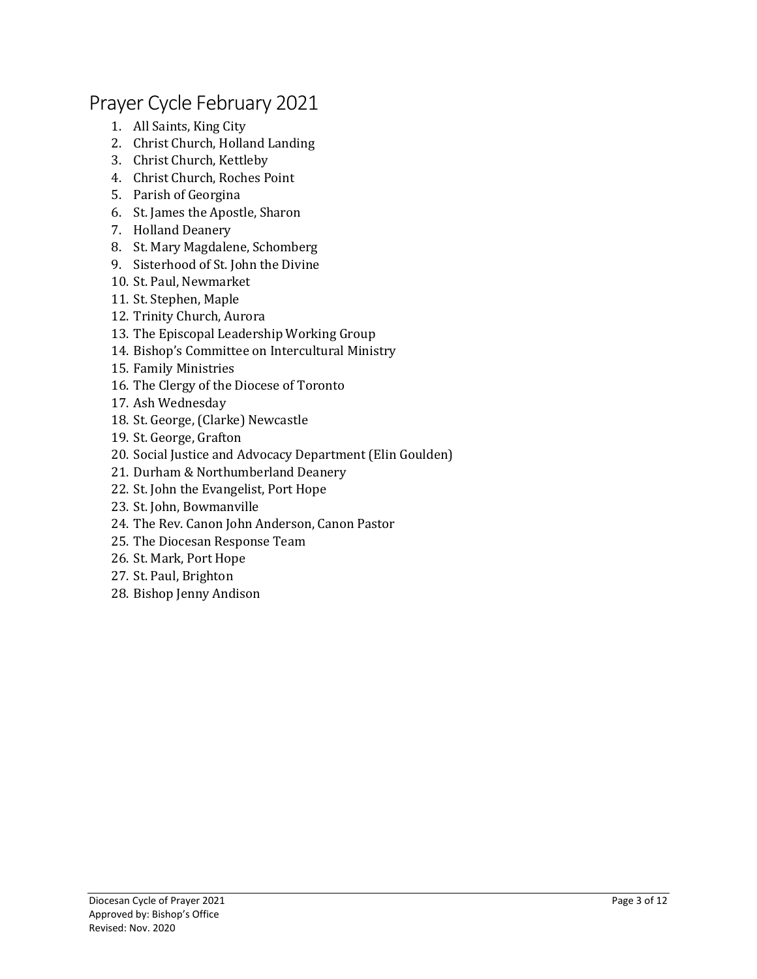#### Prayer Cycle February 2021

- 1. All Saints, King City
- 2. Christ Church, Holland Landing
- 3. Christ Church, Kettleby
- 4. Christ Church, Roches Point
- 5. Parish of Georgina
- 6. St. James the Apostle, Sharon
- 7. Holland Deanery
- 8. St. Mary Magdalene, Schomberg
- 9. Sisterhood of St. John the Divine
- 10. St. Paul, Newmarket
- 11. St. Stephen, Maple
- 12. Trinity Church, Aurora
- 13. The Episcopal Leadership Working Group
- 14. Bishop's Committee on Intercultural Ministry
- 15. Family Ministries
- 16. The Clergy of the Diocese of Toronto
- 17. Ash Wednesday
- 18. St. George, (Clarke) Newcastle
- 19. St. George, Grafton
- 20. Social Justice and Advocacy Department (Elin Goulden)
- 21. Durham & Northumberland Deanery
- 22. St. John the Evangelist, Port Hope
- 23. St. John, Bowmanville
- 24. The Rev. Canon John Anderson, Canon Pastor
- 25. The Diocesan Response Team
- 26. St. Mark, Port Hope
- 27. St. Paul, Brighton
- 28. Bishop Jenny Andison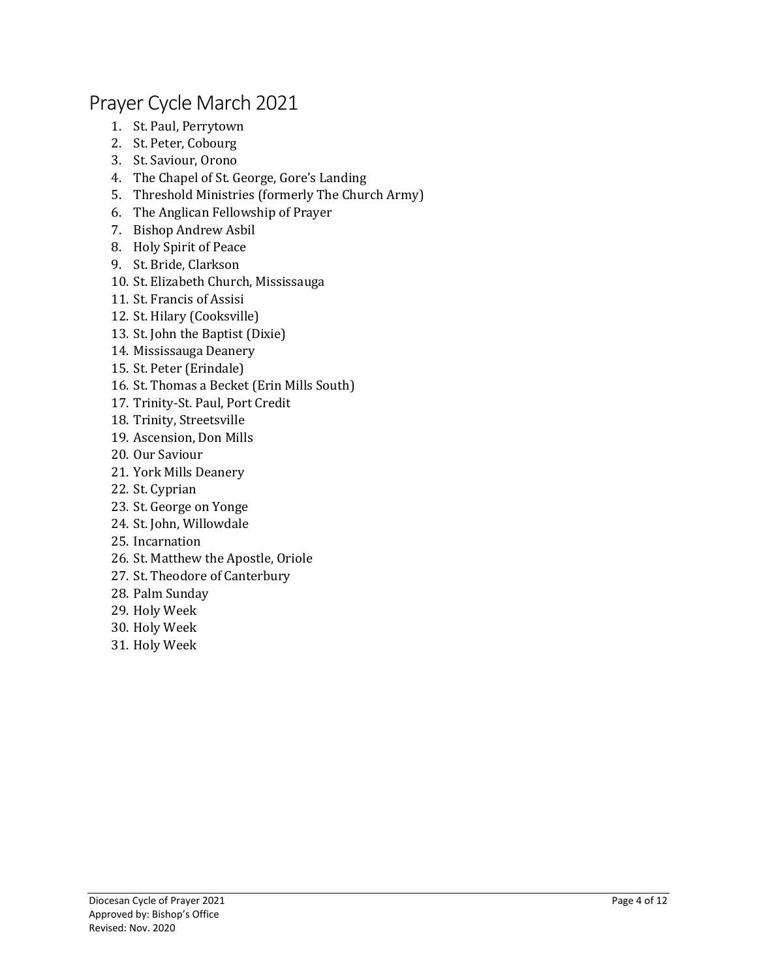## Prayer Cycle March 2021

- 1. St. Paul, Perrytown
- 2. St. Peter, Cobourg
- 3. St. Saviour, Orono
- 4. The Chapel of St. George, Gore's Landing
- 5. Threshold Ministries (formerly The Church Army)
- 6. The Anglican Fellowship of Prayer
- 7. Bishop Andrew Asbil
- 8. Holy Spirit of Peace
- 9. St. Bride, Clarkson
- 10. St. Elizabeth Church, Mississauga
- 11. St. Francis of Assisi
- 12. St. Hilary (Cooksville)
- 13. St. John the Baptist (Dixie)
- 14. Mississauga Deanery
- 15. St. Peter (Erindale)
- 16. St. Thomas a Becket (Erin Mills South)
- 17. Trinity-St. Paul, Port Credit
- 18. Trinity, Streetsville
- 19. Ascension, Don Mills
- 20. Our Saviour
- 21. York Mills Deanery
- 22. St. Cyprian
- 23. St. George on Yonge
- 24. St. John, Willowdale
- 25. Incarnation
- 26. St. Matthew the Apostle, Oriole
- 27. St. Theodore of Canterbury
- 28. Palm Sunday
- 29. Holy Week
- 30. Holy Week
- 31. Holy Week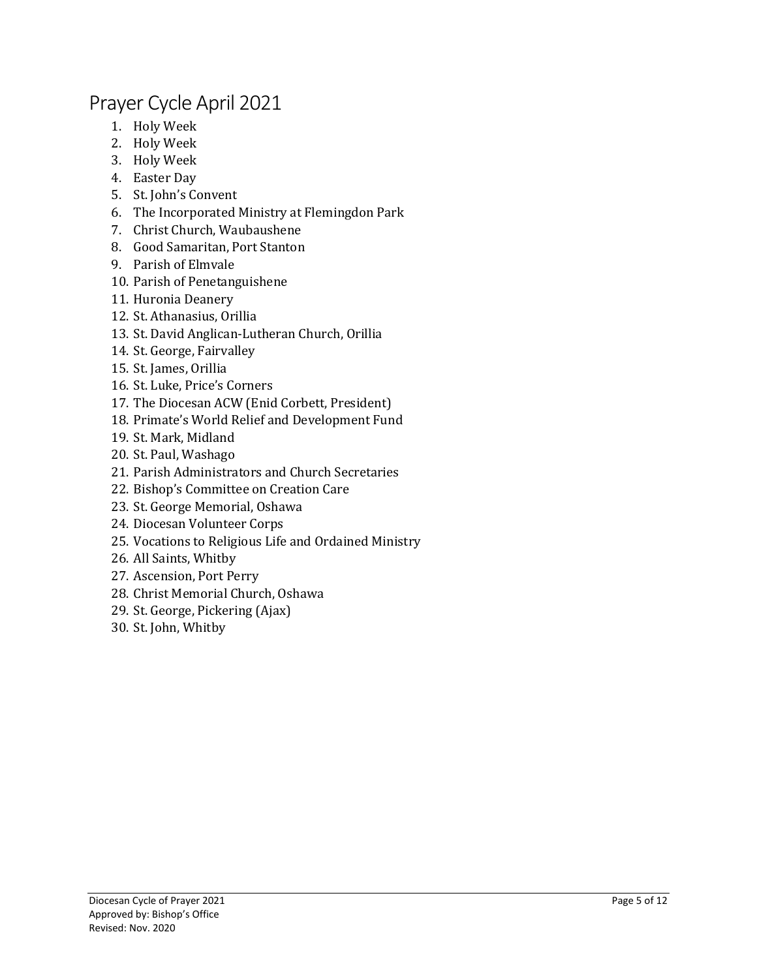# Prayer Cycle April 2021

- 1. Holy Week
- 2. Holy Week
- 3. Holy Week
- 4. Easter Day
- 5. St. John's Convent
- 6. The Incorporated Ministry at Flemingdon Park
- 7. Christ Church, Waubaushene
- 8. Good Samaritan, Port Stanton
- 9. Parish of Elmvale
- 10. Parish of Penetanguishene
- 11. Huronia Deanery
- 12. St. Athanasius, Orillia
- 13. St. David Anglican-Lutheran Church, Orillia
- 14. St. George, Fairvalley
- 15. St. James, Orillia
- 16. St. Luke, Price's Corners
- 17. The Diocesan ACW (Enid Corbett, President)
- 18. Primate's World Relief and Development Fund
- 19. St. Mark, Midland
- 20. St. Paul, Washago
- 21. Parish Administrators and Church Secretaries
- 22. Bishop's Committee on Creation Care
- 23. St. George Memorial, Oshawa
- 24. Diocesan Volunteer Corps
- 25. Vocations to Religious Life and Ordained Ministry
- 26. All Saints, Whitby
- 27. Ascension, Port Perry
- 28. Christ Memorial Church, Oshawa
- 29. St. George, Pickering (Ajax)
- 30. St. John, Whitby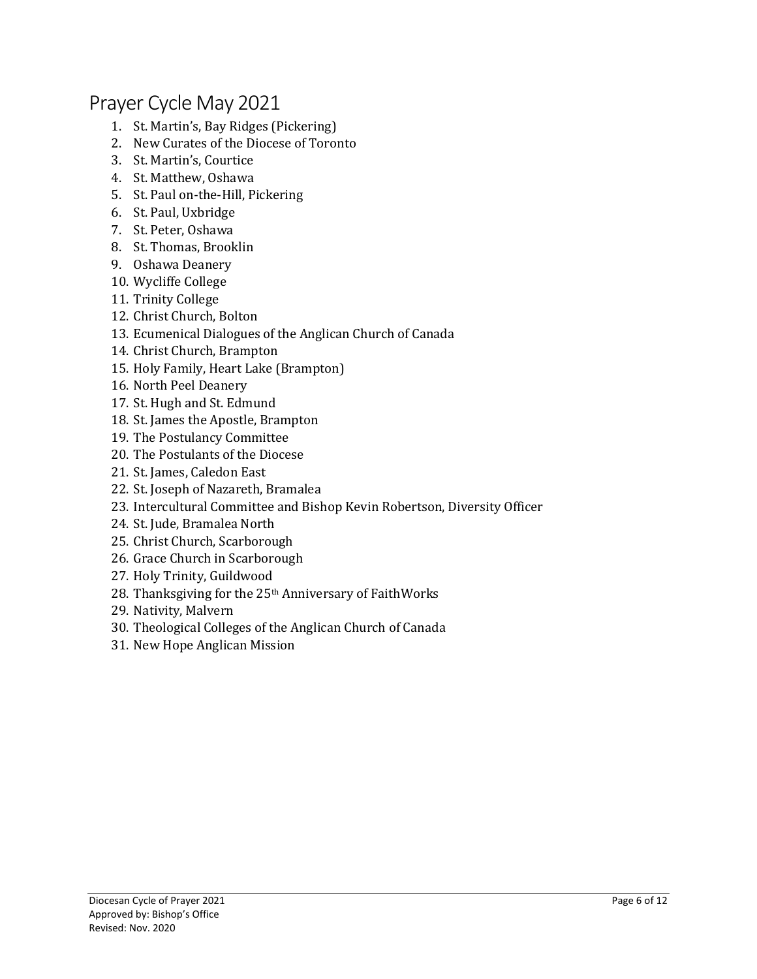#### Prayer Cycle May 2021

- 1. St. Martin's, Bay Ridges (Pickering)
- 2. New Curates of the Diocese of Toronto
- 3. St. Martin's, Courtice
- 4. St. Matthew, Oshawa
- 5. St. Paul on-the-Hill, Pickering
- 6. St. Paul, Uxbridge
- 7. St. Peter, Oshawa
- 8. St. Thomas, Brooklin
- 9. Oshawa Deanery
- 10. Wycliffe College
- 11. Trinity College
- 12. Christ Church, Bolton
- 13. Ecumenical Dialogues of the Anglican Church of Canada
- 14. Christ Church, Brampton
- 15. Holy Family, Heart Lake (Brampton)
- 16. North Peel Deanery
- 17. St. Hugh and St. Edmund
- 18. St. James the Apostle, Brampton
- 19. The Postulancy Committee
- 20. The Postulants of the Diocese
- 21. St. James, Caledon East
- 22. St. Joseph of Nazareth, Bramalea
- 23. Intercultural Committee and Bishop Kevin Robertson, Diversity Officer
- 24. St. Jude, Bramalea North
- 25. Christ Church, Scarborough
- 26. Grace Church in Scarborough
- 27. Holy Trinity, Guildwood
- 28. Thanksgiving for the 25th Anniversary of FaithWorks
- 29. Nativity, Malvern
- 30. Theological Colleges of the Anglican Church of Canada
- 31. New Hope Anglican Mission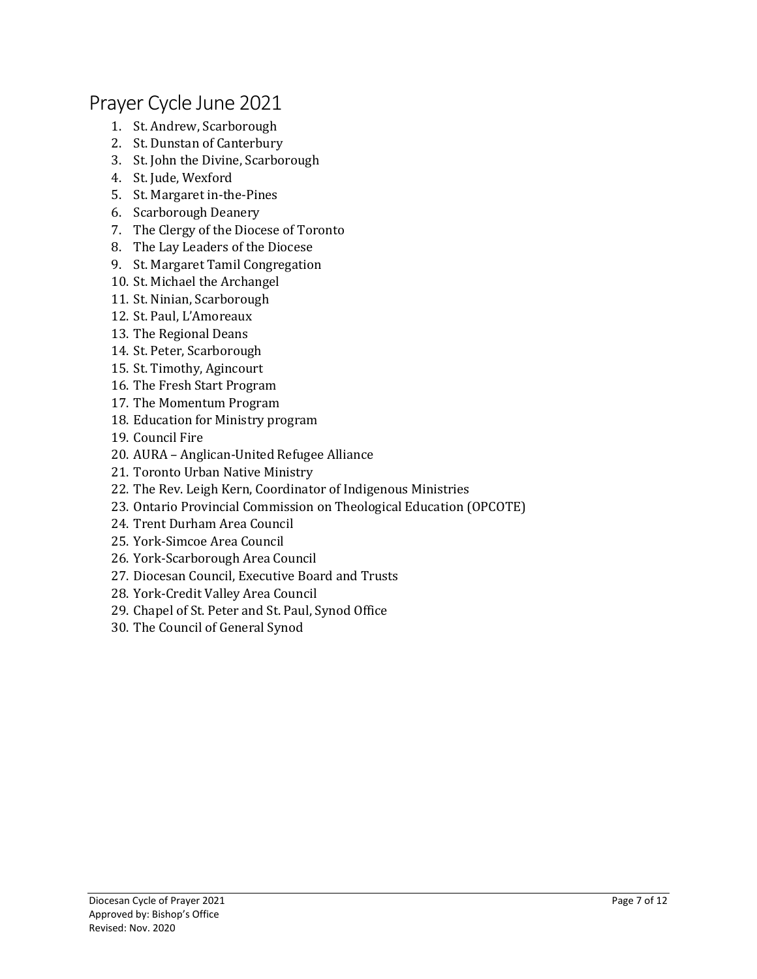#### Prayer Cycle June 2021

- 1. St. Andrew, Scarborough
- 2. St. Dunstan of Canterbury
- 3. St. John the Divine, Scarborough
- 4. St. Jude, Wexford
- 5. St. Margaret in-the-Pines
- 6. Scarborough Deanery
- 7. The Clergy of the Diocese of Toronto
- 8. The Lay Leaders of the Diocese
- 9. St. Margaret Tamil Congregation
- 10. St. Michael the Archangel
- 11. St. Ninian, Scarborough
- 12. St. Paul, L'Amoreaux
- 13. The Regional Deans
- 14. St. Peter, Scarborough
- 15. St. Timothy, Agincourt
- 16. The Fresh Start Program
- 17. The Momentum Program
- 18. Education for Ministry program
- 19. Council Fire
- 20. AURA Anglican-United Refugee Alliance
- 21. Toronto Urban Native Ministry
- 22. The Rev. Leigh Kern, Coordinator of Indigenous Ministries
- 23. Ontario Provincial Commission on Theological Education (OPCOTE)
- 24. Trent Durham Area Council
- 25. York-Simcoe Area Council
- 26. York-Scarborough Area Council
- 27. Diocesan Council, Executive Board and Trusts
- 28. York-Credit Valley Area Council
- 29. Chapel of St. Peter and St. Paul, Synod Office
- 30. The Council of General Synod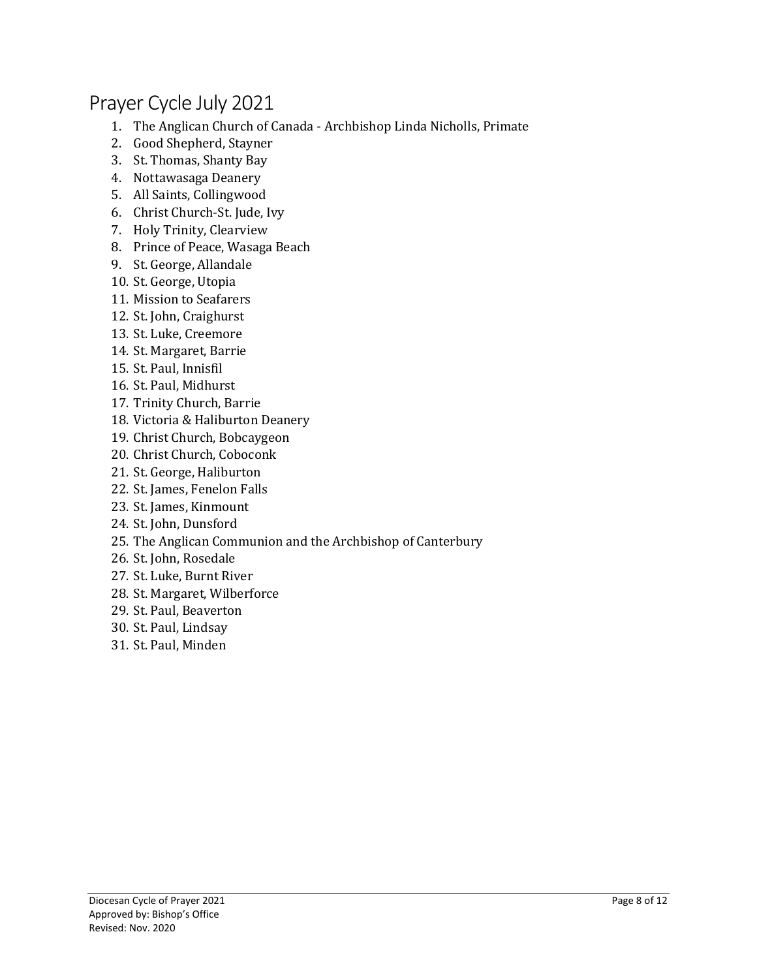# Prayer Cycle July 2021

- 1. The Anglican Church of Canada Archbishop Linda Nicholls, Primate
- 2. Good Shepherd, Stayner
- 3. St. Thomas, Shanty Bay
- 4. Nottawasaga Deanery
- 5. All Saints, Collingwood
- 6. Christ Church-St. Jude, Ivy
- 7. Holy Trinity, Clearview
- 8. Prince of Peace, Wasaga Beach
- 9. St. George, Allandale
- 10. St. George, Utopia
- 11. Mission to Seafarers
- 12. St. John, Craighurst
- 13. St. Luke, Creemore
- 14. St. Margaret, Barrie
- 15. St. Paul, Innisfil
- 16. St. Paul, Midhurst
- 17. Trinity Church, Barrie
- 18. Victoria & Haliburton Deanery
- 19. Christ Church, Bobcaygeon
- 20. Christ Church, Coboconk
- 21. St. George, Haliburton
- 22. St. James, Fenelon Falls
- 23. St. James, Kinmount
- 24. St. John, Dunsford
- 25. The Anglican Communion and the Archbishop of Canterbury
- 26. St. John, Rosedale
- 27. St. Luke, Burnt River
- 28. St. Margaret, Wilberforce
- 29. St. Paul, Beaverton
- 30. St. Paul, Lindsay
- 31. St. Paul, Minden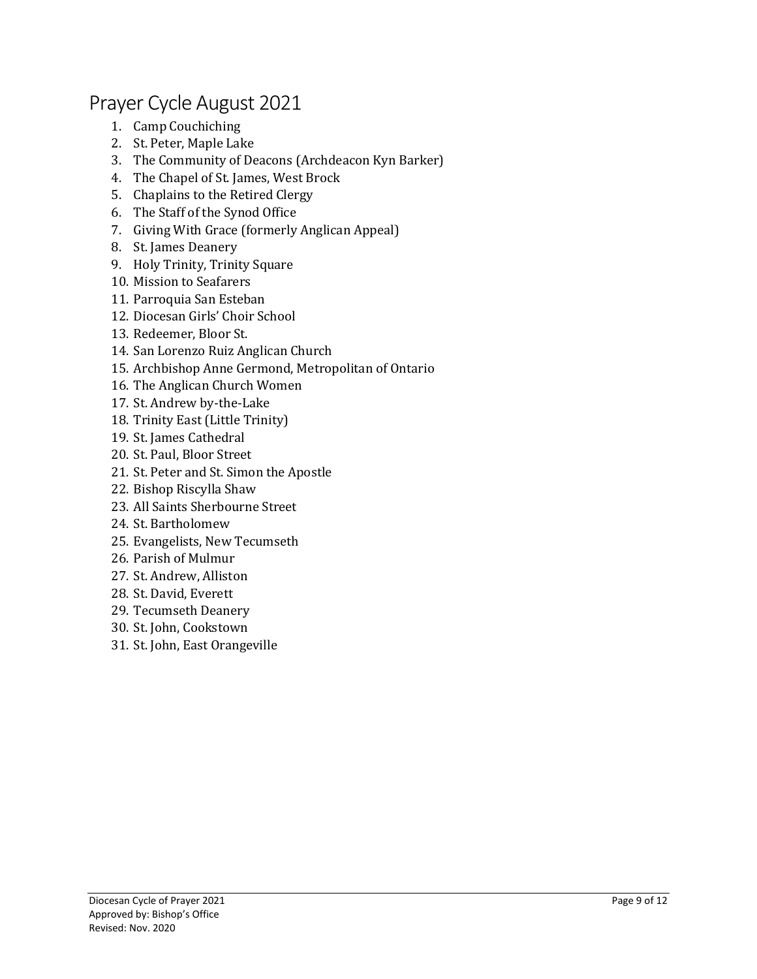#### Prayer Cycle August 2021

- 1. Camp Couchiching
- 2. St. Peter, Maple Lake
- 3. The Community of Deacons (Archdeacon Kyn Barker)
- 4. The Chapel of St. James, West Brock
- 5. Chaplains to the Retired Clergy
- 6. The Staff of the Synod Office
- 7. Giving With Grace (formerly Anglican Appeal)
- 8. St. James Deanery
- 9. Holy Trinity, Trinity Square
- 10. Mission to Seafarers
- 11. Parroquia San Esteban
- 12. Diocesan Girls' Choir School
- 13. Redeemer, Bloor St.
- 14. San Lorenzo Ruiz Anglican Church
- 15. Archbishop Anne Germond, Metropolitan of Ontario
- 16. The Anglican Church Women
- 17. St. Andrew by-the-Lake
- 18. Trinity East (Little Trinity)
- 19. St. James Cathedral
- 20. St. Paul, Bloor Street
- 21. St. Peter and St. Simon the Apostle
- 22. Bishop Riscylla Shaw
- 23. All Saints Sherbourne Street
- 24. St. Bartholomew
- 25. Evangelists, New Tecumseth
- 26. Parish of Mulmur
- 27. St. Andrew, Alliston
- 28. St. David, Everett
- 29. Tecumseth Deanery
- 30. St. John, Cookstown
- 31. St. John, East Orangeville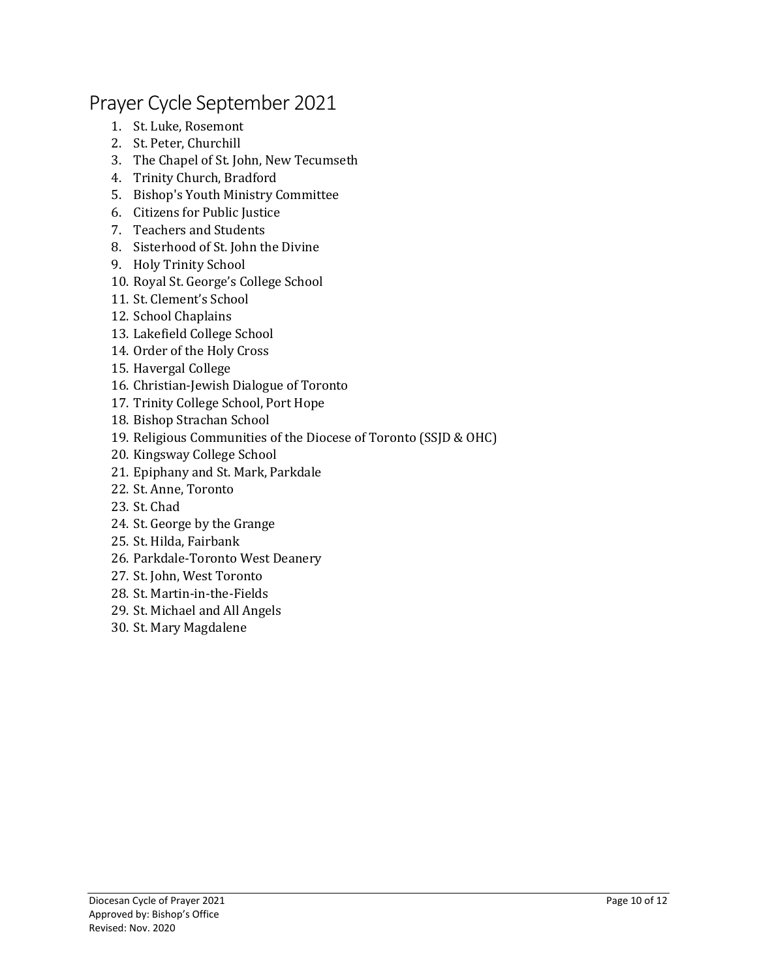## Prayer Cycle September 2021

- 1. St. Luke, Rosemont
- 2. St. Peter, Churchill
- 3. The Chapel of St. John, New Tecumseth
- 4. Trinity Church, Bradford
- 5. Bishop's Youth Ministry Committee
- 6. Citizens for Public Justice
- 7. Teachers and Students
- 8. Sisterhood of St. John the Divine
- 9. Holy Trinity School
- 10. Royal St. George's College School
- 11. St. Clement's School
- 12. School Chaplains
- 13. Lakefield College School
- 14. Order of the Holy Cross
- 15. Havergal College
- 16. Christian-Jewish Dialogue of Toronto
- 17. Trinity College School, Port Hope
- 18. Bishop Strachan School
- 19. Religious Communities of the Diocese of Toronto (SSJD & OHC)
- 20. Kingsway College School
- 21. Epiphany and St. Mark, Parkdale
- 22. St. Anne, Toronto
- 23. St. Chad
- 24. St. George by the Grange
- 25. St. Hilda, Fairbank
- 26. Parkdale-Toronto West Deanery
- 27. St. John, West Toronto
- 28. St. Martin-in-the-Fields
- 29. St. Michael and All Angels
- 30. St. Mary Magdalene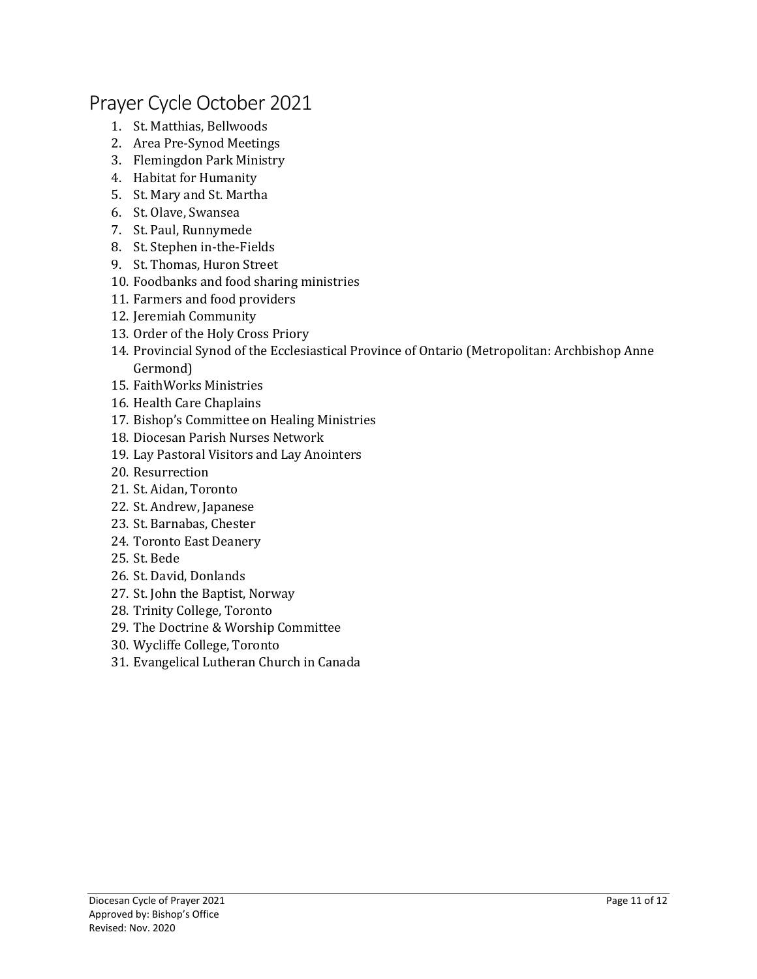#### Prayer Cycle October 2021

- 1. St. Matthias, Bellwoods
- 2. Area Pre-Synod Meetings
- 3. Flemingdon Park Ministry
- 4. Habitat for Humanity
- 5. St. Mary and St. Martha
- 6. St. Olave, Swansea
- 7. St. Paul, Runnymede
- 8. St. Stephen in-the-Fields
- 9. St. Thomas, Huron Street
- 10. Foodbanks and food sharing ministries
- 11. Farmers and food providers
- 12. Jeremiah Community
- 13. Order of the Holy Cross Priory
- 14. Provincial Synod of the Ecclesiastical Province of Ontario (Metropolitan: Archbishop Anne Germond)
- 15. FaithWorks Ministries
- 16. Health Care Chaplains
- 17. Bishop's Committee on Healing Ministries
- 18. Diocesan Parish Nurses Network
- 19. Lay Pastoral Visitors and Lay Anointers
- 20. Resurrection
- 21. St. Aidan, Toronto
- 22. St. Andrew, Japanese
- 23. St. Barnabas, Chester
- 24. Toronto East Deanery
- 25. St. Bede
- 26. St. David, Donlands
- 27. St. John the Baptist, Norway
- 28. Trinity College, Toronto
- 29. The Doctrine & Worship Committee
- 30. Wycliffe College, Toronto
- 31. Evangelical Lutheran Church in Canada